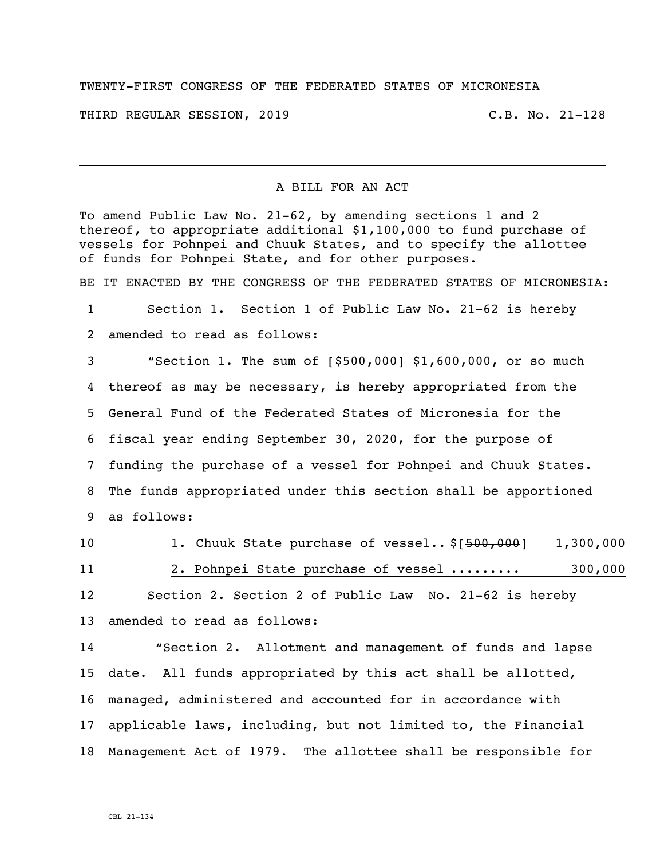## TWENTY-FIRST CONGRESS OF THE FEDERATED STATES OF MICRONESIA

THIRD REGULAR SESSION, 2019 C.B. No. 21-128

A BILL FOR AN ACT

To amend Public Law No. 21-62, by amending sections 1 and 2 thereof, to appropriate additional \$1,100,000 to fund purchase of vessels for Pohnpei and Chuuk States, and to specify the allottee of funds for Pohnpei State, and for other purposes.

BE IT ENACTED BY THE CONGRESS OF THE FEDERATED STATES OF MICRONESIA:

1 Section 1. Section 1 of Public Law No. 21-62 is hereby 2 amended to read as follows:

 "Section 1. The sum of [\$500,000] \$1,600,000, or so much thereof as may be necessary, is hereby appropriated from the General Fund of the Federated States of Micronesia for the fiscal year ending September 30, 2020, for the purpose of funding the purchase of a vessel for Pohnpei and Chuuk States. The funds appropriated under this section shall be apportioned as follows:

10 1. Chuuk State purchase of vessel.. \$[500,000] 1,300,000 11 2. Pohnpei State purchase of vessel ......... 300,000 12 Section 2. Section 2 of Public Law No. 21-62 is hereby

 "Section 2. Allotment and management of funds and lapse date. All funds appropriated by this act shall be allotted, managed, administered and accounted for in accordance with applicable laws, including, but not limited to, the Financial Management Act of 1979. The allottee shall be responsible for

13 amended to read as follows: